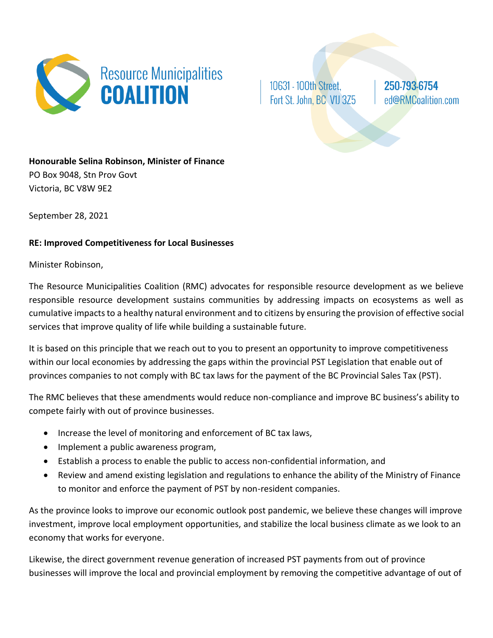

10631 - 100th Street, Fort St. John, BC V1J 3Z5 250-793-6754 ed@RMCoalition.com

**Honourable Selina Robinson, Minister of Finance** PO Box 9048, Stn Prov Govt Victoria, BC V8W 9E2

September 28, 2021

## **RE: Improved Competitiveness for Local Businesses**

## Minister Robinson,

The Resource Municipalities Coalition (RMC) advocates for responsible resource development as we believe responsible resource development sustains communities by addressing impacts on ecosystems as well as cumulative impacts to a healthy natural environment and to citizens by ensuring the provision of effective social services that improve quality of life while building a sustainable future.

It is based on this principle that we reach out to you to present an opportunity to improve competitiveness within our local economies by addressing the gaps within the provincial PST Legislation that enable out of provinces companies to not comply with BC tax laws for the payment of the BC Provincial Sales Tax (PST).

The RMC believes that these amendments would reduce non-compliance and improve BC business's ability to compete fairly with out of province businesses.

- Increase the level of monitoring and enforcement of BC tax laws,
- Implement a public awareness program,
- Establish a process to enable the public to access non-confidential information, and
- Review and amend existing legislation and regulations to enhance the ability of the Ministry of Finance to monitor and enforce the payment of PST by non-resident companies.

As the province looks to improve our economic outlook post pandemic, we believe these changes will improve investment, improve local employment opportunities, and stabilize the local business climate as we look to an economy that works for everyone.

Likewise, the direct government revenue generation of increased PST payments from out of province businesses will improve the local and provincial employment by removing the competitive advantage of out of